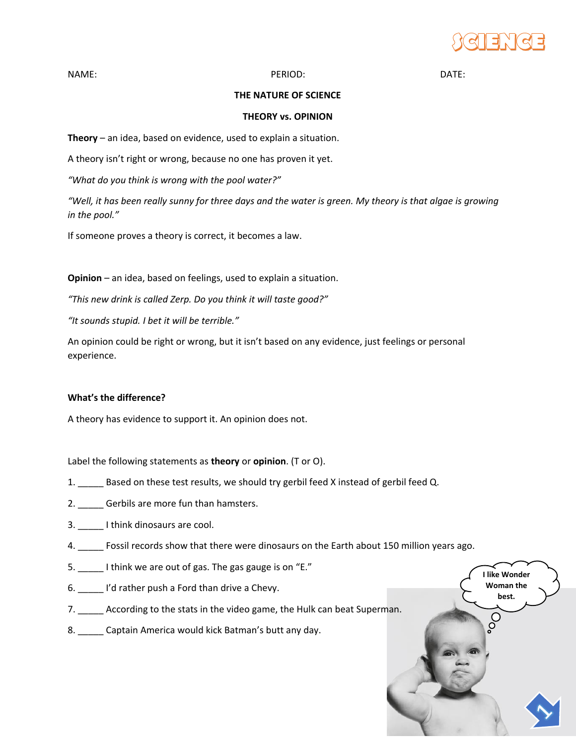

**I like Wonder Woman the best.**

 $\overline{\overline{\overline{\overline{C}}}}$ 

NAME: DATE: PERIOD: PERIOD: PERIOD: DATE:

## **THE NATURE OF SCIENCE**

## **THEORY vs. OPINION**

**Theory** – an idea, based on evidence, used to explain a situation.

A theory isn't right or wrong, because no one has proven it yet.

*"What do you think is wrong with the pool water?"*

*"Well, it has been really sunny for three days and the water is green. My theory is that algae is growing in the pool."*

If someone proves a theory is correct, it becomes a law.

**Opinion** – an idea, based on feelings, used to explain a situation.

*"This new drink is called Zerp. Do you think it will taste good?"*

*"It sounds stupid. I bet it will be terrible."*

An opinion could be right or wrong, but it isn't based on any evidence, just feelings or personal experience.

## **What's the difference?**

A theory has evidence to support it. An opinion does not.

Label the following statements as **theory** or **opinion**. (T or O).

- 1. Based on these test results, we should try gerbil feed X instead of gerbil feed Q.
- 2. Gerbils are more fun than hamsters.
- 3. Lithink dinosaurs are cool.
- 4. \_\_\_\_\_ Fossil records show that there were dinosaurs on the Earth about 150 million years ago.
- 5. I think we are out of gas. The gas gauge is on "E."
- 6. \_\_\_\_\_ I'd rather push a Ford than drive a Chevy.
- 7. \_\_\_\_\_ According to the stats in the video game, the Hulk can beat Superman.
- 8. Captain America would kick Batman's butt any day.